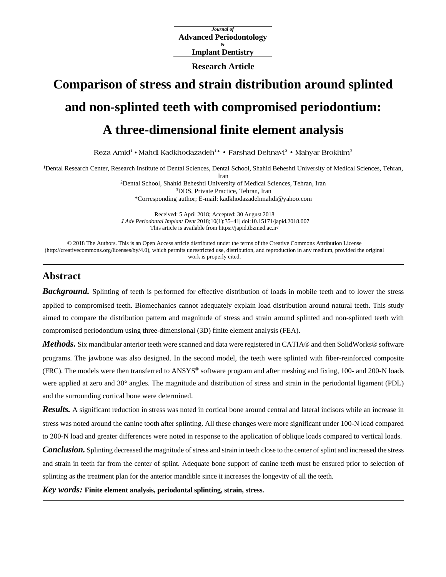*Journal of* **Advanced Periodontology & Implant Dentistry**

**Research Article**

# **Comparison of stress and strain distribution around splinted and non-splinted teeth with compromised periodontium: A three-dimensional finite element analysis**

**Reza Amid1 • Mahdi Kadkhodazadeh1\* • Farshad Dehnavi<sup>2</sup> • Mahyar Brokhim<sup>3</sup>**

<sup>1</sup>Dental Research Center, Research Institute of Dental Sciences, Dental School, Shahid Beheshti University of Medical Sciences, Tehran,

Iran

2Dental School, Shahid Beheshti University of Medical Sciences, Tehran, Iran 3DDS, Private Practice, Tehran, Iran \*Corresponding author; E-mail: [kadkhodazadehmahdi@yahoo.com](mailto:kadkhodazadehmahdi@yahoo.com)

Received: 5 April 2018; Accepted: 30 August 2018 *J Adv Periodontal Implant Dent* 2018;10(1):35–41[| doi:10.15171/japid.2018.007](http://dx.doi.org/10.15171/japid.2018.007) This article is available fro[m https://japid.tbzmed.ac.ir/](https://japid.tbzmed.ac.ir/)

© 2018 The Authors. This is an Open Access article distributed under the terms of the Creative Commons Attribution License [\(http://creativecommons.org/licenses/by/4.0\),](http://creativecommons.org/licenses/by/4.0) which permits unrestricted use, distribution, and reproduction in any medium, provided the original work is properly cited.

# **Abstract**

**Background.** Splinting of teeth is performed for effective distribution of loads in mobile teeth and to lower the stress applied to compromised teeth. Biomechanics cannot adequately explain load distribution around natural teeth. This study aimed to compare the distribution pattern and magnitude of stress and strain around splinted and non-splinted teeth with compromised periodontium using three-dimensional (3D) finite element analysis (FEA).

*Methods*. Six mandibular anterior teeth were scanned and data were registered in CATIA® and then SolidWorks® software programs. The jawbone was also designed. In the second model, the teeth were splinted with fiber-reinforced composite (FRC). The models were then transferred to ANSYS® software program and after meshing and fixing, 100- and 200-N loads were applied at zero and 30° angles. The magnitude and distribution of stress and strain in the periodontal ligament (PDL) and the surrounding cortical bone were determined.

*Results.* A significant reduction in stress was noted in cortical bone around central and lateral incisors while an increase in stress was noted around the canine tooth after splinting. All these changes were more significant under 100-N load compared to 200-N load and greater differences were noted in response to the application of oblique loads compared to vertical loads.

*Conclusion.* Splinting decreased the magnitude of stress and strain in teeth close to the center of splint and increased the stress and strain in teeth far from the center of splint. Adequate bone support of canine teeth must be ensured prior to selection of splinting as the treatment plan for the anterior mandible since it increases the longevity of all the teeth.

*Key words:* **Finite element analysis, periodontal splinting, strain, stress.**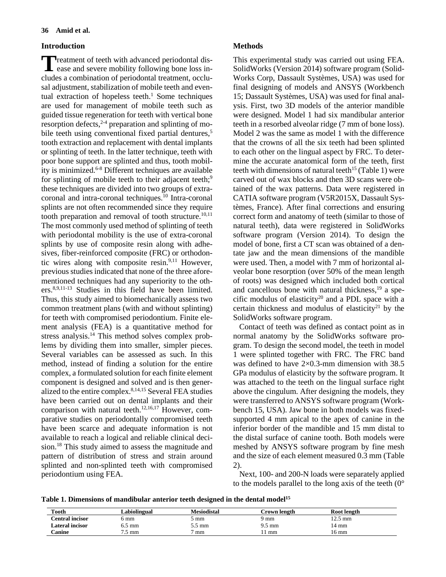# **Introduction**

**T** reatment of teeth with advanced periodontal dis-<br>ease and severe mobility following bone loss inease and severe mobility following bone loss includes a combination of periodontal treatment, occlusal adjustment, stabilization of mobile teeth and eventual extraction of hopeless teeth. <sup>1</sup> Some techniques are used for management of mobile teeth such as guided tissue regeneration for teeth with vertical bone resorption defects, 2-4 preparation and splinting of mobile teeth using conventional fixed partial dentures, 5 tooth extraction and replacement with dental implants or splinting of teeth. In the latter technique, teeth with poor bone support are splinted and thus, tooth mobility is minimized. 6-8 Different techniques are available for splinting of mobile teeth to their adjacent teeth;<sup>9</sup> these techniques are divided into two groups of extracoronal and intra-coronal techniques. <sup>10</sup> Intra-coronal splints are not often recommended since they require tooth preparation and removal of tooth structure.<sup>10,11</sup> The most commonly used method of splinting of teeth with periodontal mobility is the use of extra-coronal splints by use of composite resin along with adhesives, fiber-reinforced composite (FRC) or orthodontic wires along with composite resin. 9,11 However, previous studies indicated that none of the three aforementioned techniques had any superiority to the others. 8,9,11-13 Studies in this field have been limited. Thus, this study aimed to biomechanically assess two common treatment plans (with and without splinting) for teeth with compromised periodontium. Finite element analysis (FEA) is a quantitative method for stress analysis.<sup>14</sup> This method solves complex problems by dividing them into smaller, simpler pieces. Several variables can be assessed as such. In this method, instead of finding a solution for the entire complex, a formulated solution for each finite element component is designed and solved and is then generalized to the entire complex.<sup>8,14,15</sup> Several FEA studies have been carried out on dental implants and their comparison with natural teeth. 12,16,17 However, comparative studies on periodontally compromised teeth have been scarce and adequate information is not available to reach a logical and reliable clinical decision. <sup>18</sup> This study aimed to assess the magnitude and pattern of distribution of stress and strain around splinted and non-splinted teeth with compromised periodontium using FEA.

# **Methods**

This experimental study was carried out using FEA. SolidWorks (Version 2014) software program (Solid-Works Corp, Dassault Systèmes, USA) was used for final designing of models and ANSYS (Workbench 15; Dassault Systèmes, USA) was used for final analysis. First, two 3D models of the anterior mandible were designed. Model 1 had six mandibular anterior teeth in a resorbed alveolar ridge (7 mm of bone loss). Model 2 was the same as model 1 with the difference that the crowns of all the six teeth had been splinted to each other on the lingual aspect by FRC. To determine the accurate anatomical form of the teeth, first teeth with dimensions of natural teeth<sup>15</sup> (Table 1) were carved out of wax blocks and then 3D scans were obtained of the wax patterns. Data were registered in CATIA software program (V5R2015X, Dassault Systèmes, France). After final corrections and ensuring correct form and anatomy of teeth (similar to those of natural teeth), data were registered in SolidWorks software program (Version 2014). To design the model of bone, first a CT scan was obtained of a dentate jaw and the mean dimensions of the mandible were used. Then, a model with 7 mm of horizontal alveolar bone resorption (over 50% of the mean length of roots) was designed which included both cortical and cancellous bone with natural thickness, <sup>19</sup> a specific modulus of elasticity<sup>20</sup> and a PDL space with a certain thickness and modulus of elasticity<sup>21</sup> by the SolidWorks software program.

Contact of teeth was defined as contact point as in normal anatomy by the SolidWorks software program. To design the second model, the teeth in model 1 were splinted together with FRC. The FRC band was defined to have  $2\times 0.3$ -mm dimension with 38.5 GPa modulus of elasticity by the software program. It was attached to the teeth on the lingual surface right above the cingulum. After designing the models, they were transferred to ANSYS software program (Workbench 15, USA). Jaw bone in both models was fixedsupported 4 mm apical to the apex of canine in the inferior border of the mandible and 15 mm distal to the distal surface of canine tooth. Both models were meshed by ANSYS software program by fine mesh and the size of each element measured 0.3 mm (Table 2).

Next, 100- and 200-N loads were separately applied to the models parallel to the long axis of the teeth  $(0^{\circ})$ 

Table 1. Dimensions of mandibular anterior teeth designed in the dental model<sup>15</sup>

| Tooth                  | Labiolingual     | Mesiodistal | Crown length | Root length    |
|------------------------|------------------|-------------|--------------|----------------|
| <b>Central incisor</b> | 5 mm             | mm          | mm           | $5 \text{ mm}$ |
| <b>Lateral incisor</b> | $\frac{1}{2}$ mm | 5.5 mm      | 9.5 mm       | !4 mm          |
| <b>Canine</b>          | mm               | mm          | 1 mm         | 16 mm          |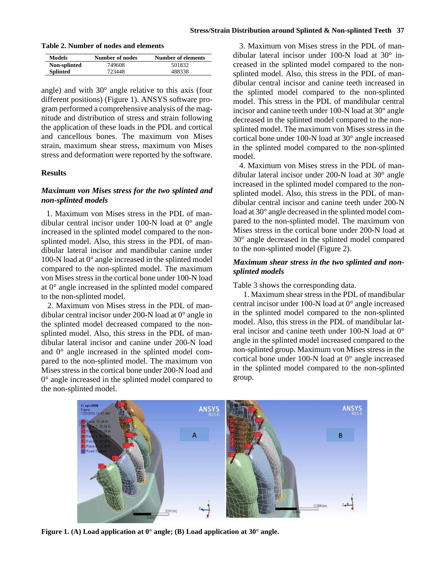#### **Stress/Strain Distribution around Splinted & Non-splinted Teeth 37**

**Table 2. Number of nodes and elements**

| Models          | Number of nodes | Number of elements |
|-----------------|-----------------|--------------------|
| Non-splinted    | 749608          | 501832             |
| <b>Splinted</b> | 723448          | 488338             |

angle) and with 30° angle relative to this axis (four different positions) (Figure 1). ANSYS software program performed a comprehensive analysis of the magnitude and distribution of stress and strain following the application of these loads in the PDL and cortical and cancellous bones. The maximum von Mises strain, maximum shear stress, maximum von Mises stress and deformation were reported by the software.

### **Results**

# *Maximum von Mises stress for the two splinted and non-splinted models*

1. Maximum von Mises stress in the PDL of mandibular central incisor under 100-N load at 0° angle increased in the splinted model compared to the nonsplinted model. Also, this stress in the PDL of mandibular lateral incisor and mandibular canine under 100-N load at 0° angle increased in the splinted model compared to the non-splinted model. The maximum von Mises stress in the cortical bone under 100-N load at 0° angle increased in the splinted model compared to the non-splinted model.

2. Maximum von Mises stress in the PDL of mandibular central incisor under 200-N load at 0° angle in the splinted model decreased compared to the nonsplinted model. Also, this stress in the PDL of mandibular lateral incisor and canine under 200-N load and 0° angle increased in the splinted model compared to the non-splinted model. The maximum von Mises stress in the cortical bone under 200-N load and 0° angle increased in the splinted model compared to the non-splinted model.

3. Maximum von Mises stress in the PDL of mandibular lateral incisor under 100-N load at 30° increased in the splinted model compared to the nonsplinted model. Also, this stress in the PDL of mandibular central incisor and canine teeth increased in the splinted model compared to the non-splinted model. This stress in the PDL of mandibular central incisor and canine teeth under 100-N load at 30° angle decreased in the splinted model compared to the nonsplinted model. The maximum von Mises stress in the cortical bone under 100-N load at 30° angle increased in the splinted model compared to the non-splinted model.

4. Maximum von Mises stress in the PDL of mandibular lateral incisor under 200-N load at 30° angle increased in the splinted model compared to the nonsplinted model. Also, this stress in the PDL of mandibular central incisor and canine teeth under 200-N load at 30° angle decreased in the splinted model compared to the non-splinted model. The maximum von Mises stress in the cortical bone under 200-N load at 30° angle decreased in the splinted model compared to the non-splinted model (Figure 2).

# *Maximum shear stress in the two splinted and nonsplinted models*

Table 3 shows the corresponding data.

1. Maximum shear stress in the PDL of mandibular central incisor under 100-N load at 0° angle increased in the splinted model compared to the non-splinted model. Also, this stress in the PDL of mandibular lateral incisor and canine teeth under 100-N load at 0° angle in the splinted model increased compared to the non-splinted group. Maximum von Mises stress in the cortical bone under 100-N load at 0° angle increased in the splinted model compared to the non-splinted group.



**Figure 1. (A) Load application at 0° angle; (B) Load application at 30° angle.**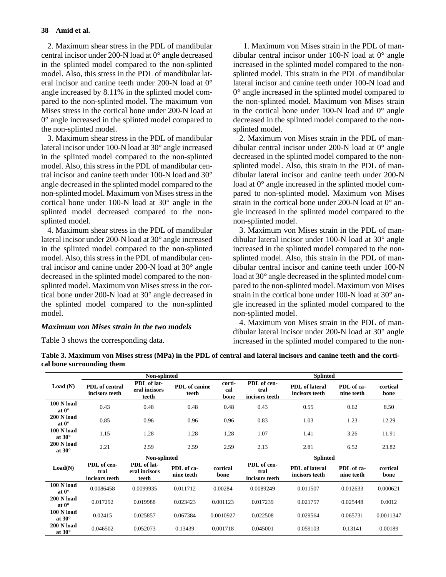2. Maximum shear stress in the PDL of mandibular central incisor under 200-N load at 0° angle decreased in the splinted model compared to the non-splinted model. Also, this stress in the PDL of mandibular lateral incisor and canine teeth under 200-N load at 0° angle increased by 8.11% in the splinted model compared to the non-splinted model. The maximum von Mises stress in the cortical bone under 200-N load at 0° angle increased in the splinted model compared to the non-splinted model.

3. Maximum shear stress in the PDL of mandibular lateral incisor under 100-N load at 30° angle increased in the splinted model compared to the non-splinted model. Also, this stress in the PDL of mandibular central incisor and canine teeth under 100-N load and 30° angle decreased in the splinted model compared to the non-splinted model. Maximum von Mises stress in the cortical bone under 100-N load at 30° angle in the splinted model decreased compared to the nonsplinted model.

4. Maximum shear stress in the PDL of mandibular lateral incisor under 200-N load at 30° angle increased in the splinted model compared to the non-splinted model. Also, this stress in the PDL of mandibular central incisor and canine under 200-N load at 30° angle decreased in the splinted model compared to the nonsplinted model. Maximum von Mises stress in the cortical bone under 200-N load at 30° angle decreased in the splinted model compared to the non-splinted model.

### *Maximum von Mises strain in the two models*

Table 3 shows the corresponding data.

1. Maximum von Mises strain in the PDL of mandibular central incisor under 100-N load at 0° angle increased in the splinted model compared to the nonsplinted model. This strain in the PDL of mandibular lateral incisor and canine teeth under 100-N load and 0° angle increased in the splinted model compared to the non-splinted model. Maximum von Mises strain in the cortical bone under 100-N load and  $0^{\circ}$  angle decreased in the splinted model compared to the nonsplinted model.

2. Maximum von Mises strain in the PDL of mandibular central incisor under 200-N load at 0° angle decreased in the splinted model compared to the nonsplinted model. Also, this strain in the PDL of mandibular lateral incisor and canine teeth under 200-N load at 0° angle increased in the splinted model compared to non-splinted model. Maximum von Mises strain in the cortical bone under 200-N load at  $0^{\circ}$  angle increased in the splinted model compared to the non-splinted model.

3. Maximum von Mises strain in the PDL of mandibular lateral incisor under 100-N load at 30° angle increased in the splinted model compared to the nonsplinted model. Also, this strain in the PDL of mandibular central incisor and canine teeth under 100-N load at 30° angle decreased in the splinted model compared to the non-splinted model. Maximum von Mises strain in the cortical bone under 100-N load at 30° angle increased in the splinted model compared to the non-splinted model.

4. Maximum von Mises strain in the PDL of mandibular lateral incisor under 200-N load at 30° angle increased in the splinted model compared to the non-

| Table 3. Maximum von Mises stress (MPa) in the PDL of central and lateral incisors and canine teeth and the corti- |
|--------------------------------------------------------------------------------------------------------------------|
| cal bone surrounding them                                                                                          |

|                                     | Non-splinted                            |                                       |                               |                       | <b>Splinted</b>                       |                                         |                          |                  |
|-------------------------------------|-----------------------------------------|---------------------------------------|-------------------------------|-----------------------|---------------------------------------|-----------------------------------------|--------------------------|------------------|
| Load(N)                             | <b>PDL</b> of central<br>incisors teeth | PDL of lat-<br>eral incisors<br>teeth | <b>PDL</b> of canine<br>teeth | corti-<br>cal<br>bone | PDL of cen-<br>tral<br>incisors teeth | <b>PDL</b> of lateral<br>incisors teeth | PDL of ca-<br>nine teeth | cortical<br>bone |
| <b>100 N load</b><br>at $0^{\circ}$ | 0.43                                    | 0.48                                  | 0.48                          | 0.48                  | 0.43                                  | 0.55                                    | 0.62                     | 8.50             |
| <b>200 N load</b><br>at $0^{\circ}$ | 0.85                                    | 0.96                                  | 0.96                          | 0.96                  | 0.83                                  | 1.03                                    | 1.23                     | 12.29            |
| <b>100 N load</b><br>at $30^\circ$  | 1.15                                    | 1.28                                  | 1.28                          | 1.28                  | 1.07                                  | 1.41                                    | 3.26                     | 11.91            |
| <b>200 N load</b><br>at $30^\circ$  | 2.21                                    | 2.59                                  | 2.59                          | 2.59                  | 2.13                                  | 2.81                                    | 6.52                     | 23.82            |
|                                     | Non-splinted                            |                                       |                               |                       | <b>Splinted</b>                       |                                         |                          |                  |
| Load(N)                             | PDL of cen-<br>tral<br>incisors teeth   | PDL of lat-<br>eral incisors<br>teeth | PDL of ca-<br>nine teeth      | cortical<br>bone      | PDL of cen-<br>tral<br>incisors teeth | <b>PDL</b> of lateral<br>incisors teeth | PDL of ca-<br>nine teeth | cortical<br>bone |
| <b>100 N load</b><br>at $0^{\circ}$ | 0.0086458                               | 0.0099935                             | 0.011712                      | 0.00284               | 0.0089249                             | 0.011507                                | 0.012633                 | 0.000621         |
| <b>200 N load</b><br>at $0^{\circ}$ | 0.017292                                | 0.019988                              | 0.023423                      | 0.001123              | 0.017239                              | 0.021757                                | 0.025448                 | 0.0012           |
| <b>100 N load</b><br>at $30^\circ$  | 0.02415                                 | 0.025857                              | 0.067384                      | 0.0010927             | 0.022508                              | 0.029564                                | 0.065731                 | 0.0011347        |
| <b>200 N load</b><br>at $30^\circ$  | 0.046502                                | 0.052073                              | 0.13439                       | 0.001718              | 0.045001                              | 0.059103                                | 0.13141                  | 0.00189          |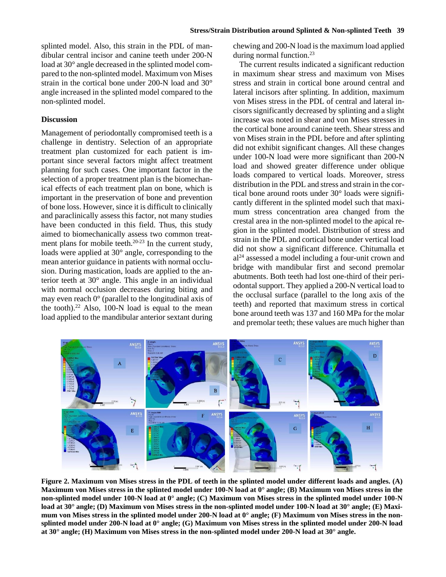splinted model. Also, this strain in the PDL of mandibular central incisor and canine teeth under 200-N load at 30° angle decreased in the splinted model compared to the non-splinted model. Maximum von Mises strain in the cortical bone under 200-N load and 30° angle increased in the splinted model compared to the non-splinted model.

#### **Discussion**

Management of periodontally compromised teeth is a challenge in dentistry. Selection of an appropriate treatment plan customized for each patient is important since several factors might affect treatment planning for such cases. One important factor in the selection of a proper treatment plan is the biomechanical effects of each treatment plan on bone, which is important in the preservation of bone and prevention of bone loss. However, since it is difficult to clinically and paraclinically assess this factor, not many studies have been conducted in this field. Thus, this study aimed to biomechanically assess two common treatment plans for mobile teeth.<sup>20-23</sup> In the current study, loads were applied at 30° angle, corresponding to the mean anterior guidance in patients with normal occlusion. During mastication, loads are applied to the anterior teeth at 30° angle. This angle in an individual with normal occlusion decreases during biting and may even reach 0° (parallel to the longitudinal axis of the tooth). <sup>22</sup> Also, 100-N load is equal to the mean load applied to the mandibular anterior sextant during

chewing and 200-N load is the maximum load applied during normal function. 23

The current results indicated a significant reduction in maximum shear stress and maximum von Mises stress and strain in cortical bone around central and lateral incisors after splinting. In addition, maximum von Mises stress in the PDL of central and lateral incisors significantly decreased by splinting and a slight increase was noted in shear and von Mises stresses in the cortical bone around canine teeth. Shear stress and von Mises strain in the PDL before and after splinting did not exhibit significant changes. All these changes under 100-N load were more significant than 200-N load and showed greater difference under oblique loads compared to vertical loads. Moreover, stress distribution in the PDL and stress and strain in the cortical bone around roots under 30° loads were significantly different in the splinted model such that maximum stress concentration area changed from the crestal area in the non-splinted model to the apical region in the splinted model. Distribution of stress and strain in the PDL and cortical bone under vertical load did not show a significant difference. Chitumalla et al24 assessed a model including a four-unit crown and bridge with mandibular first and second premolar abutments. Both teeth had lost one-third of their periodontal support. They applied a 200-N vertical load to the occlusal surface (parallel to the long axis of the teeth) and reported that maximum stress in cortical bone around teeth was 137 and 160 MPa for the molar and premolar teeth; these values are much higher than



**Figure 2. Maximum von Mises stress in the PDL of teeth in the splinted model under different loads and angles. (A) Maximum von Mises stress in the splinted model under 100-N load at 0° angle; (B) Maximum von Mises stress in the non-splinted model under 100-N load at 0° angle; (C) Maximum von Mises stress in the splinted model under 100-N load at 30° angle; (D) Maximum von Mises stress in the non-splinted model under 100-N load at 30° angle; (E) Maximum von Mises stress in the splinted model under 200-N load at 0° angle; (F) Maximum von Mises stress in the nonsplinted model under 200-N load at 0° angle; (G) Maximum von Mises stress in the splinted model under 200-N load at 30° angle; (H) Maximum von Mises stress in the non-splinted model under 200-N load at 30° angle.**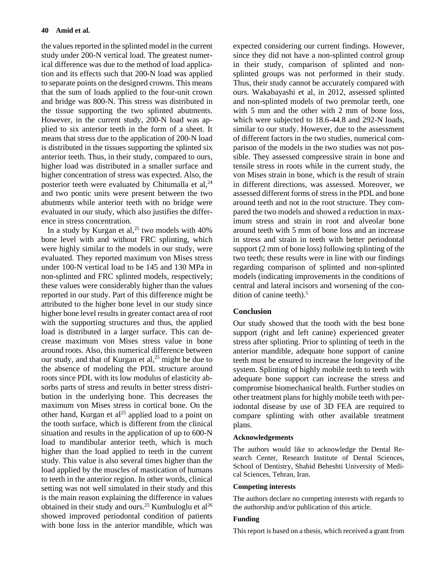the values reported in the splinted model in the current study under 200-N vertical load. The greatest numerical difference was due to the method of load application and its effects such that 200-N load was applied to separate points on the designed crowns. This means that the sum of loads applied to the four-unit crown and bridge was 800-N. This stress was distributed in the tissue supporting the two splinted abutments. However, in the current study, 200-N load was applied to six anterior teeth in the form of a sheet. It means that stress due to the application of 200-N load is distributed in the tissues supporting the splinted six anterior teeth. Thus, in their study, compared to ours, higher load was distributed in a smaller surface and higher concentration of stress was expected. Also, the posterior teeth were evaluated by Chitumalla et al, $^{24}$ and two pontic units were present between the two abutments while anterior teeth with no bridge were evaluated in our study, which also justifies the difference in stress concentration.

In a study by Kurgan et al,<sup>25</sup> two models with  $40\%$ bone level with and without FRC splinting, which were highly similar to the models in our study, were evaluated. They reported maximum von Mises stress under 100-N vertical load to be 145 and 130 MPa in non-splinted and FRC splinted models, respectively; these values were considerably higher than the values reported in our study. Part of this difference might be attributed to the higher bone level in our study since higher bone level results in greater contact area of root with the supporting structures and thus, the applied load is distributed in a larger surface. This can decrease maximum von Mises stress value in bone around roots. Also, this numerical difference between our study, and that of Kurgan et  $al$ <sup>25</sup> might be due to the absence of modeling the PDL structure around roots since PDL with its low modulus of elasticity absorbs parts of stress and results in better stress distribution in the underlying bone. This decreases the maximum von Mises stress in cortical bone. On the other hand, Kurgan et  $al^{25}$  applied load to a point on the tooth surface, which is different from the clinical situation and results in the application of up to 600-N load to mandibular anterior teeth, which is much higher than the load applied to teeth in the current study. This value is also several times higher than the load applied by the muscles of mastication of humans to teeth in the anterior region. In other words, clinical setting was not well simulated in their study and this is the main reason explaining the difference in values obtained in their study and ours.<sup>25</sup> Kumbuloglu et al<sup>26</sup> showed improved periodontal condition of patients with bone loss in the anterior mandible, which was

expected considering our current findings. However, since they did not have a non-splinted control group in their study, comparison of splinted and nonsplinted groups was not performed in their study. Thus, their study cannot be accurately compared with ours. Wakabayashi et al, in 2012, assessed splinted and non-splinted models of two premolar teeth, one with 5 mm and the other with 2 mm of bone loss, which were subjected to 18.6-44.8 and 292-N loads, similar to our study. However, due to the assessment of different factors in the two studies, numerical comparison of the models in the two studies was not possible. They assessed compressive strain in bone and tensile stress in roots while in the current study, the von Mises strain in bone, which is the result of strain in different directions, was assessed. Moreover, we assessed different forms of stress in the PDL and bone around teeth and not in the root structure. They compared the two models and showed a reduction in maximum stress and strain in root and alveolar bone around teeth with 5 mm of bone loss and an increase in stress and strain in teeth with better periodontal support (2 mm of bone loss) following splinting of the two teeth; these results were in line with our findings regarding comparison of splinted and non-splinted models (indicating improvements in the conditions of central and lateral incisors and worsening of the condition of canine teeth). 5

# **Conclusion**

Our study showed that the tooth with the best bone support (right and left canine) experienced greater stress after splinting. Prior to splinting of teeth in the anterior mandible, adequate hone support of canine teeth must be ensured to increase the longevity of the system. Splinting of highly mobile teeth to teeth with adequate bone support can increase the stress and compromise biomechanical health. Further studies on other treatment plans for highly mobile teeth with periodontal disease by use of 3D FEA are required to compare splinting with other available treatment plans.

### **Acknowledgements**

The authors would like to acknowledge the Dental Research Center, Research Institute of Dental Sciences, School of Dentistry, Shahid Beheshti University of Medical Sciences, Tehran, Iran.

#### **Competing interests**

The authors declare no competing interests with regards to the authorship and/or publication of this article.

#### **Funding**

This report is based on a thesis, which received a grant from